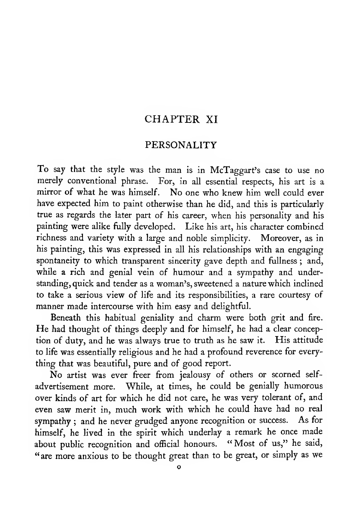#### CHAPTER XI

#### PERSONALITY

To say that the style was the man is in McTaggart's case to use no merely conventional phrase. For, in all essential respects, his art is a mirror of what he was himself. No one who knew him well could ever have expected him to paint otherwise than he did, and this is particularly true as regards the later part of his career, when his personality and his painting were alike fully developed. Like his art, his character combined richness and variety with a large and noble simplicity. Moreover, as in his painting, this was expressed in all his relationships with an engaging spontaneity to which transparent sincerity gave depth and fullness ; and, while a rich and genial vein of humour and <sup>a</sup> sympathy and understanding, quick and tender as a woman's, sweetened a nature which inclined to take a serious view of life and its responsibilities, a rare courtesy of manner made intercourse with him easy and delightful.

Beneath this habitual geniality and charm were both grit and fire. He had thought of things deeply and for himself, he had <sup>a</sup> clear conception of duty, and he was always true to truth as he saw it. His attitude to life was essentially religious and he had a profound reverence for everything that was beautifial, pure and of good report.

No artist was ever freer from jealousy of others or scorned self advertisement more. While, at times, he could be genially humorous over kinds of art for which he did not care, he was very tolerant of, and even saw merit in, much work with which he could have had no real sympathy ; and he never grudged anyone recognition or success. As for himself, he lived in the spirit which underlay <sup>a</sup> remark he once made about public recognition and official honours. "Most of us," he said, "are more anxious to be thought great than to be great, or simply as we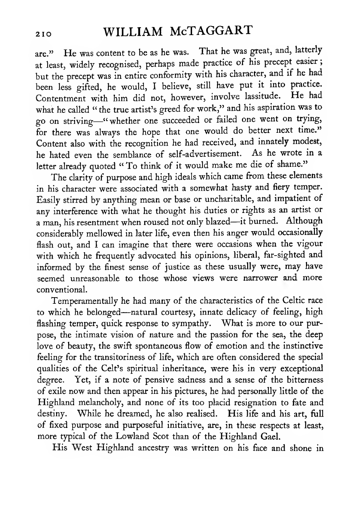# <sup>210</sup> WILLIAM McTAGGART

are." He was content to be as he was. That he was great, and, latterly at least, widely recognised, perhaps made practice of his precept easier; but the precept was in entire conformity with his character, and if he had been less gifted, he would, <sup>I</sup> believe, still have put it into practice. Contentment with him did not, however, involve lassitude. He had what he called " the true artist's greed for work," and his aspiration was to go on striving—"whether one succeeded or failed one went on trying, for there was always the hope that one would do better next time." Content also with the recognition he had received, and innately modest, he hated even the semblance of self-advertisement. As he wrote in <sup>a</sup> letter already quoted " To think of it would make me die of shame."

The clarity of purpose and high ideals which came from these elements in his character were associated with a somewhat hasty and fiery temper. Easily stirred by anything mean or base or uncharitable, and impatient of any interference with what he thought his duties or rights as an artist or <sup>a</sup> man, his resentment when roused not only blazed—it burned. Although considerably mellowed in later life, even then his anger would occasionally flash out, and <sup>I</sup> can imagine that there were occasions when the vigour with which he frequently advocated his opinions, liberal, far-sighted and informed by the finest sense of justice as these usually were, may have seemed unreasonable to those whose views were narrower and more conventional.

Temperamentally he had many of the characteristics of the Celtic race to which he belonged—natural courtesy, innate delicacy of feeling, high flashing temper, quick response to sympathy. What is more to our purpose, the intimate vision of nature and the passion for the sea, the deep love of beauty, the swift spontaneous flow of emotion and the instinctive feeling for the transitoriness of life, which are often considered the special qualities of the Celt's spiritual inheritance, were his in very exceptional degree. Yet, if a note of pensive sadness and a sense of the bitterness of exile now and then appear in his pictures, he had personally little of the Highland melancholy, and none of its too placid resignation to fate and destiny. While he dreamed, he also realised. His life and his art, full of fixed purpose and purposeful initiative, are, in these respects at least, more typical of the Lowland Scot than of the Highland Gael.

His West Highland ancestry was written on his face and shone in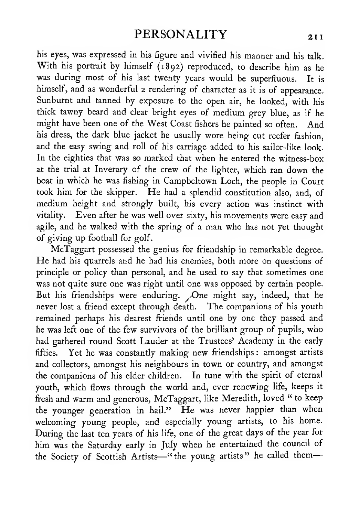his eyes, was expressed in his figure and vivified his manner and his talk. With his portrait by himself (1892) reproduced, to describe him as he was during most of his last twenty years would be superfluous. It is himself, and as wonderful <sup>a</sup> rendering of character as it is of appearance. Sunburnt and tanned by exposure to the open air, he looked, with his thick tawny beard and clear bright eyes of medium grey blue, as if he might have been one of the West Coast fishers he painted so often. And his dress, the dark blue jacket he usually wore being cut reefer fashion, and the easy swing and roll of his carriage added to his sailor-like look. In the eighties that was so marked that when he entered the witness-box at the trial at Inverary of the crew of the lighter, which ran down the boat in which he was fishing in Campbeltown Loch, the people in Court took him for the skipper. He had <sup>a</sup> splendid constitution also, and, of medium height and strongly built, his every action was instinct with vitality. Even after he was well over sixty, his movements were easy and agile, and he walked with the spring of a man who has not yet thought of giving up football for golf.

McTaggart possessed the genius for friendship in remarkable degree. He had his quarrels and he had his enemies, both more on questions of principle or policy than personal, and he used to say that sometimes one was not quite sure one was right until one was opposed by certain people. But his friendships were enduring. /One might say, indeed, that he never lost a friend except through death. The companions of his youth remained perhaps his dearest friends until one by one they passed and he was left one of the few survivors of the brilliant group of pupils, who had gathered round Scott Lauder at the Trustees' Academy in the early fifties. Yet he was constantly making new friendships : amongst artists and collectors, amongst his neighbours in town or country, and amongst the companions of his elder children. In tune with the spirit of eternal youth, which flows through the world and, ever renewing life, keeps it fresh and warm and generous, McTaggart, like Meredith, loved " to keep the younger generation in hail." He was never happier than when welcoming young people, and especially young artists, to his home. During the last ten years of his life, one of the great days of the year for him was the Saturday early in July when he entertained the council of the Society of Scottish Artists—"the young artists" he called them-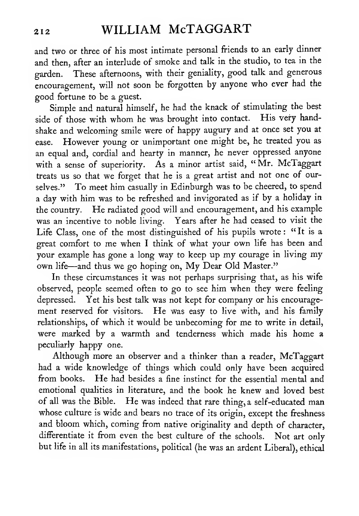# <sup>212</sup> WILLIAM McTAGGART

and two or three of his most intimate personal friends to an early dinner and then, after an interlude of smoke and talk in the studio, to tea in the garden. These afternoons, with their geniality, good talk and generous encouragement, will not soon be forgotten by anyone who ever had the good fortune to be a guest.

Simple and natural himself, he had the knack of stimulating the best side of those with whom he was brought into contact. His very handshake and welcoming smile were of happy augury and at once set you at ease. However young or unimportant one might be, he treated you as an equal and, cordial and hearty in manner, he never oppressed anyone with <sup>a</sup> sense of superiority. As <sup>a</sup> minor artist said, "Mr. McTaggart treats us so that we forget that he is <sup>a</sup> great artist and not one of ourselves." To meet him casually in Edinburgh was to be cheered, to spend a day with him was to be refreshed and invigorated as if by a holiday in the country. He radiated good will and encouragement, and his example was an incentive to noble living. Years after he had ceased to visit the Life Class, one of the most distinguished of his pupils wrote : " It is <sup>a</sup> great comfort to me when <sup>I</sup> think of what your own life has been and your example has gone <sup>a</sup> long way to keep up my courage in living my own life—and thus we go hoping on. My Dear Old Master."

In these circumstances it was not perhaps surprising that, as his wife observed, people seemed often to go to see him when they were feeling depressed. Yet his best talk was not kept for company or his encouragement reserved for visitors. He was easy to live with, and his family relationships, of which it would be unbecoming for me to write in detail, were marked by a warmth and tenderness which made his home a peculiarly happy one.

Although more an observer and a thinker than a reader, McTaggart had a wide knowledge of things which could only have been acquired from books. He had besides <sup>a</sup> fine instinct for the essential mental and emotional qualities in literature, and the book he knew and loved best of all was the Bible. He was indeed that rare thing, <sup>a</sup> self-educated man whose culture is wide and bears no trace of its origin, except the freshness and bloom which, coming from native originality and depth of character, differentiate it from even the best culture of the schools. Not art only but life in all its manifestations, political (he was an ardent Liberal), ethical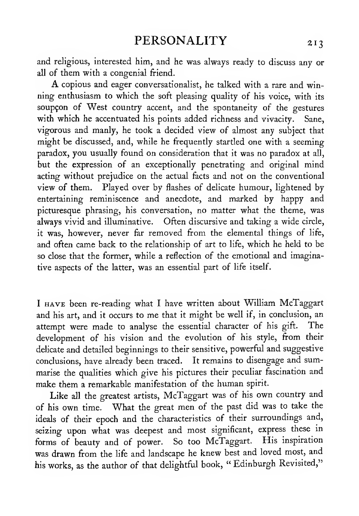and religious, interested him, and he was always ready to discuss any or all of them with a congenial friend.

A copious and eager conversationalist, he talked with <sup>a</sup> rare and winning enthusiasm to which the soft pleasing quality of his voice, with its soupçon of West country accent, and the spontaneity of the gestures with which he accentuated his points added richness and vivacity. Sane, vigorous and manly, he took a decided view of almost any subject that might be discussed, and, while he frequently startled one with a seeming paradox, you usually found on consideration that it was no paradox at all, but the expression of an exceptionally penetrating and original mind acting without prejudice on the actual facts and not on the conventional view of them. Played over by flashes of delicate humour, lightened by entertaining reminiscence and anecdote, and marked by happy and picturesque phrasing, his conversation, no matter what the theme, was always vivid and illuminative. Often discursive and taking a wide circle, it was, however, never far removed from the elemental things of life, and often came back to the relationship of art to life, which he held to be so close that the former, while a reflection of the emotional and imaginative aspects of the latter, was an essential part of life itself.

<sup>I</sup> HAVE been re-reading what <sup>I</sup> have written about William McTaggart and his art, and it occurs to me that it might be well if, in conclusion, an attempt were made to analyse the essential character of his gift. The development of his vision and the evolution of his style, from their delicate and detailed beginnings to their sensitive, powerful and suggestive conclusions, have already been traced. It remains to disengage and summarise the qualities which give his pictures their peculiar fascination and make them <sup>a</sup> remarkable manifestation of the human spirit.

Like all the greatest artists, McTaggart was of his own country and of his own time. What the great men of the past did was to take the ideals of their epoch and the characteristics of their surroundings and, seizing upon what was deepest and most significant, express these in forms of beauty and of power. So too McTaggart. His inspiration was drawn from the life and landscape he knew best and loved most, and his works, as the author of that delightful book, "Edinburgh Revisited,"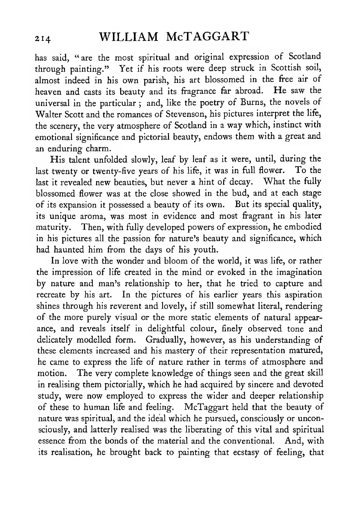has said, "are the most spiritual and original expression of Scotland through painting." Yet if his roots were deep struck in Scottish soil, almost indeed in his own parish, his art blossomed in the free air of heaven and casts its beauty and its fragrance far abroad. He saw the universal in the particular ; and, like the poetry of Burns, the novels of Walter Scott and the romances of Stevenson, his pictures interpret the life, the scenery, the very atmosphere of Scotland in a way which, instinct with emotional significance and pictorial beauty, endows them with a great and an enduring charm.

His talent unfolded slowly, leaf by leaf as it were, until, during the last twenty or twenty-five years of his life, it was in full flower. To the last it revealed new beauties, but never <sup>a</sup> hint of decay. What the fully blossomed flower was at the close showed in the bud, and at each stage of its expansion it possessed a beauty of its own. But its special quality, its unique aroma, was most in evidence and most fragrant in his later maturity. Then, with fully developed powers of expression, he embodied in his pictures all the passion for nature's beauty and significance, which had haunted him from the days of his youth.

In love with the wonder and bloom of the world, it was life, or rather the impression of life created in the mind or evoked in the imagination by nature and man's relationship to her, that he tried to capture and recreate by his art. In the pictures of his earlier years this aspiration shines through his reverent and lovely, if still somewhat literal, rendering of the more purely visual or the more static elements of natural appearance, and reveals itself in delightful colour, finely observed tone and delicately modelled form. Gradually, however, as his understanding of these elements increased and his mastery of their representation matured, he came to express the life of nature rather in terms of atmosphere and motion. The very complete knowledge of things seen and the great skill in realising them pictorially, which he had acquired by sincere and devoted study, were now employed to express the wider and deeper relationship of these to human life and feeling. McTaggart held that the beauty of nature was spiritual, and the ideal which he pursued, consciously or unconsciously, and latterly realised was the liberating of this vital and spiritual essence from the bonds of the material and the conventional. And, with its realisation, he brought back to painting that ecstasy of feeling, that